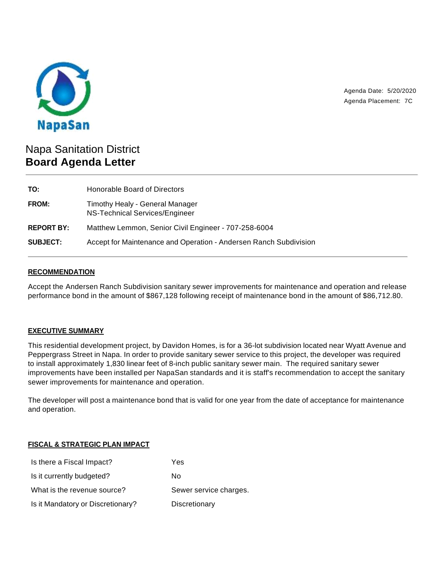

Agenda Date: 5/20/2020 Agenda Placement: 7C

# Napa Sanitation District **Board Agenda Letter**

| TO:               | Honorable Board of Directors                                      |
|-------------------|-------------------------------------------------------------------|
| <b>FROM:</b>      | Timothy Healy - General Manager<br>NS-Technical Services/Engineer |
| <b>REPORT BY:</b> | Matthew Lemmon, Senior Civil Engineer - 707-258-6004              |
| <b>SUBJECT:</b>   | Accept for Maintenance and Operation - Andersen Ranch Subdivision |

#### **RECOMMENDATION**

Accept the Andersen Ranch Subdivision sanitary sewer improvements for maintenance and operation and release performance bond in the amount of \$867,128 following receipt of maintenance bond in the amount of \$86,712.80.

## **EXECUTIVE SUMMARY**

This residential development project, by Davidon Homes, is for a 36-lot subdivision located near Wyatt Avenue and Peppergrass Street in Napa. In order to provide sanitary sewer service to this project, the developer was required to install approximately 1,830 linear feet of 8-inch public sanitary sewer main. The required sanitary sewer improvements have been installed per NapaSan standards and it is staff's recommendation to accept the sanitary sewer improvements for maintenance and operation.

The developer will post a maintenance bond that is valid for one year from the date of acceptance for maintenance and operation.

## **FISCAL & STRATEGIC PLAN IMPACT**

| Is there a Fiscal Impact?         | Yes                    |
|-----------------------------------|------------------------|
| Is it currently budgeted?         | N٥                     |
| What is the revenue source?       | Sewer service charges. |
| Is it Mandatory or Discretionary? | Discretionary          |